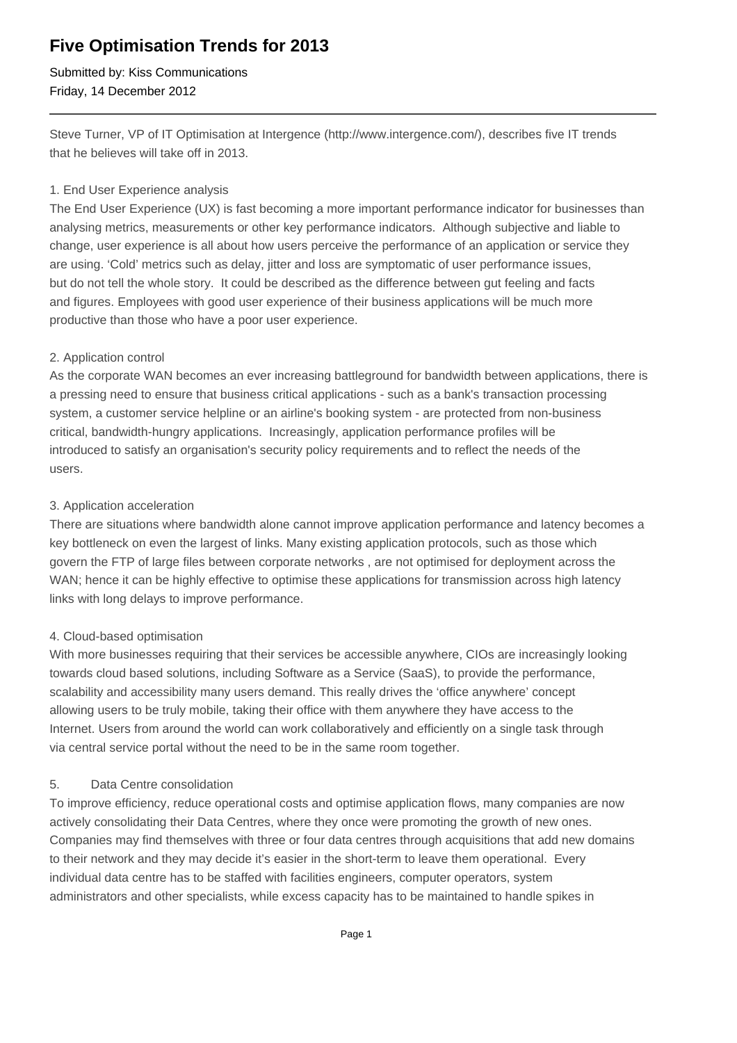## **Five Optimisation Trends for 2013**

Submitted by: Kiss Communications Friday, 14 December 2012

Steve Turner, VP of IT Optimisation at Intergence (http://www.intergence.com/), describes five IT trends that he believes will take off in 2013.

#### 1. End User Experience analysis

The End User Experience (UX) is fast becoming a more important performance indicator for businesses than analysing metrics, measurements or other key performance indicators. Although subjective and liable to change, user experience is all about how users perceive the performance of an application or service they are using. 'Cold' metrics such as delay, jitter and loss are symptomatic of user performance issues, but do not tell the whole story. It could be described as the difference between gut feeling and facts and figures. Employees with good user experience of their business applications will be much more productive than those who have a poor user experience.

#### 2. Application control

As the corporate WAN becomes an ever increasing battleground for bandwidth between applications, there is a pressing need to ensure that business critical applications - such as a bank's transaction processing system, a customer service helpline or an airline's booking system - are protected from non-business critical, bandwidth-hungry applications. Increasingly, application performance profiles will be introduced to satisfy an organisation's security policy requirements and to reflect the needs of the users.

#### 3. Application acceleration

There are situations where bandwidth alone cannot improve application performance and latency becomes a key bottleneck on even the largest of links. Many existing application protocols, such as those which govern the FTP of large files between corporate networks , are not optimised for deployment across the WAN; hence it can be highly effective to optimise these applications for transmission across high latency links with long delays to improve performance.

### 4. Cloud-based optimisation

With more businesses requiring that their services be accessible anywhere, CIOs are increasingly looking towards cloud based solutions, including Software as a Service (SaaS), to provide the performance, scalability and accessibility many users demand. This really drives the 'office anywhere' concept allowing users to be truly mobile, taking their office with them anywhere they have access to the Internet. Users from around the world can work collaboratively and efficiently on a single task through via central service portal without the need to be in the same room together.

### 5. Data Centre consolidation

To improve efficiency, reduce operational costs and optimise application flows, many companies are now actively consolidating their Data Centres, where they once were promoting the growth of new ones. Companies may find themselves with three or four data centres through acquisitions that add new domains to their network and they may decide it's easier in the short-term to leave them operational. Every individual data centre has to be staffed with facilities engineers, computer operators, system administrators and other specialists, while excess capacity has to be maintained to handle spikes in